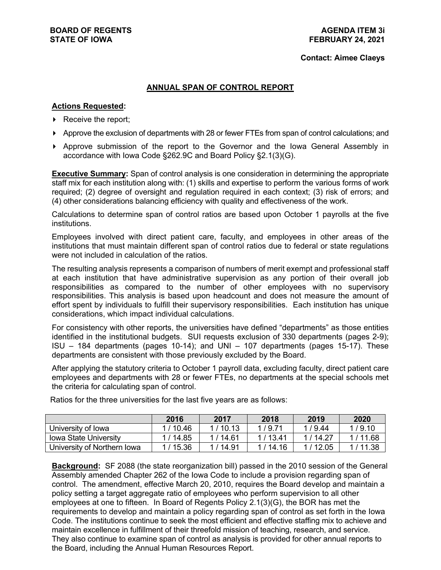#### **Contact: Aimee Claeys**

#### **ANNUAL SPAN OF CONTROL REPORT**

#### **Actions Requested:**

- $\triangleright$  Receive the report;
- Approve the exclusion of departments with 28 or fewer FTEs from span of control calculations; and
- Approve submission of the report to the Governor and the Iowa General Assembly in accordance with Iowa Code §262.9C and Board Policy §2.1(3)(G).

**Executive Summary:** Span of control analysis is one consideration in determining the appropriate staff mix for each institution along with: (1) skills and expertise to perform the various forms of work required; (2) degree of oversight and regulation required in each context; (3) risk of errors; and (4) other considerations balancing efficiency with quality and effectiveness of the work.

Calculations to determine span of control ratios are based upon October 1 payrolls at the five institutions.

Employees involved with direct patient care, faculty, and employees in other areas of the institutions that must maintain different span of control ratios due to federal or state regulations were not included in calculation of the ratios.

The resulting analysis represents a comparison of numbers of merit exempt and professional staff at each institution that have administrative supervision as any portion of their overall job responsibilities as compared to the number of other employees with no supervisory responsibilities. This analysis is based upon headcount and does not measure the amount of effort spent by individuals to fulfill their supervisory responsibilities. Each institution has unique considerations, which impact individual calculations.

For consistency with other reports, the universities have defined "departments" as those entities identified in the institutional budgets. SUI requests exclusion of 330 departments (pages 2-9); ISU – 184 departments (pages 10-14); and UNI – 107 departments (pages 15-17). These departments are consistent with those previously excluded by the Board.

After applying the statutory criteria to October 1 payroll data, excluding faculty, direct patient care employees and departments with 28 or fewer FTEs, no departments at the special schools met the criteria for calculating span of control.

|                              | 2016      | 2017      | 2018    | 2019    | 2020    |
|------------------------------|-----------|-----------|---------|---------|---------|
| University of Iowa           | 1/10.46   | 1/10.13   | 1/9.71  | 1/9.44  | 1/9.10  |
| <b>Iowa State University</b> | 1 / 14.85 | 1/14.61   | 1/13.41 | 1/14.27 | 1/11.68 |
| University of Northern Iowa  | 1 / 15.36 | 1 / 14.91 | 1/14.16 | 1/12.05 | 1/11.38 |

Ratios for the three universities for the last five years are as follows:

**Background:** SF 2088 (the state reorganization bill) passed in the 2010 session of the General Assembly amended Chapter 262 of the Iowa Code to include a provision regarding span of control. The amendment, effective March 20, 2010, requires the Board develop and maintain a policy setting a target aggregate ratio of employees who perform supervision to all other employees at one to fifteen. In Board of Regents Policy 2.1(3)(G), the BOR has met the requirements to develop and maintain a policy regarding span of control as set forth in the Iowa Code. The institutions continue to seek the most efficient and effective staffing mix to achieve and maintain excellence in fulfillment of their threefold mission of teaching, research, and service. They also continue to examine span of control as analysis is provided for other annual reports to the Board, including the Annual Human Resources Report.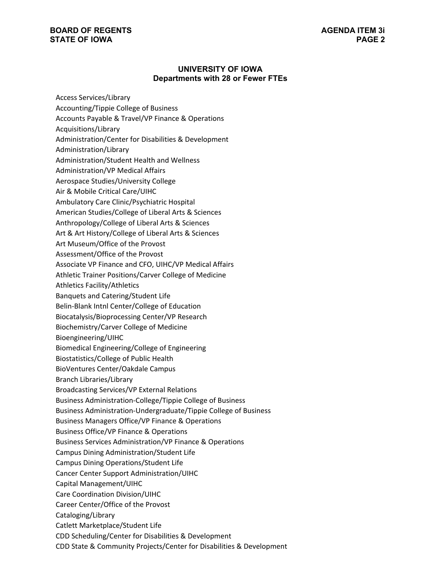#### **UNIVERSITY OF IOWA Departments with 28 or Fewer FTEs**

Access Services/Library Accounting/Tippie College of Business Accounts Payable & Travel/VP Finance & Operations Acquisitions/Library Administration/Center for Disabilities & Development Administration/Library Administration/Student Health and Wellness Administration/VP Medical Affairs Aerospace Studies/University College Air & Mobile Critical Care/UIHC Ambulatory Care Clinic/Psychiatric Hospital American Studies/College of Liberal Arts & Sciences Anthropology/College of Liberal Arts & Sciences Art & Art History/College of Liberal Arts & Sciences Art Museum/Office of the Provost Assessment/Office of the Provost Associate VP Finance and CFO, UIHC/VP Medical Affairs Athletic Trainer Positions/Carver College of Medicine Athletics Facility/Athletics Banquets and Catering/Student Life Belin-Blank Intnl Center/College of Education Biocatalysis/Bioprocessing Center/VP Research Biochemistry/Carver College of Medicine Bioengineering/UIHC Biomedical Engineering/College of Engineering Biostatistics/College of Public Health BioVentures Center/Oakdale Campus Branch Libraries/Library Broadcasting Services/VP External Relations Business Administration-College/Tippie College of Business Business Administration-Undergraduate/Tippie College of Business Business Managers Office/VP Finance & Operations Business Office/VP Finance & Operations Business Services Administration/VP Finance & Operations Campus Dining Administration/Student Life Campus Dining Operations/Student Life Cancer Center Support Administration/UIHC Capital Management/UIHC Care Coordination Division/UIHC Career Center/Office of the Provost Cataloging/Library Catlett Marketplace/Student Life CDD Scheduling/Center for Disabilities & Development

CDD State & Community Projects/Center for Disabilities & Development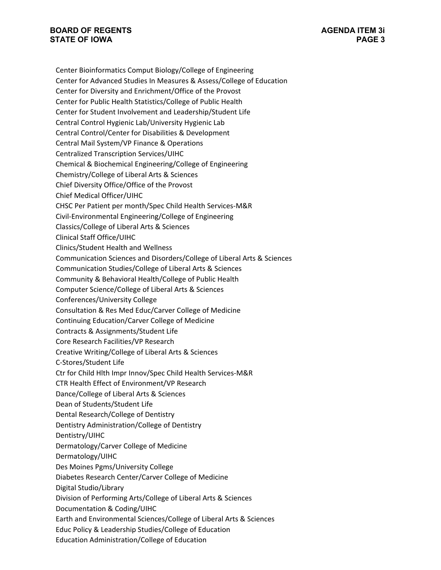Center Bioinformatics Comput Biology/College of Engineering Center for Advanced Studies In Measures & Assess/College of Education Center for Diversity and Enrichment/Office of the Provost Center for Public Health Statistics/College of Public Health Center for Student Involvement and Leadership/Student Life Central Control Hygienic Lab/University Hygienic Lab Central Control/Center for Disabilities & Development Central Mail System/VP Finance & Operations Centralized Transcription Services/UIHC Chemical & Biochemical Engineering/College of Engineering Chemistry/College of Liberal Arts & Sciences Chief Diversity Office/Office of the Provost Chief Medical Officer/UIHC CHSC Per Patient per month/Spec Child Health Services-M&R Civil-Environmental Engineering/College of Engineering Classics/College of Liberal Arts & Sciences Clinical Staff Office/UIHC Clinics/Student Health and Wellness Communication Sciences and Disorders/College of Liberal Arts & Sciences Communication Studies/College of Liberal Arts & Sciences Community & Behavioral Health/College of Public Health Computer Science/College of Liberal Arts & Sciences Conferences/University College Consultation & Res Med Educ/Carver College of Medicine Continuing Education/Carver College of Medicine Contracts & Assignments/Student Life Core Research Facilities/VP Research Creative Writing/College of Liberal Arts & Sciences C-Stores/Student Life Ctr for Child Hlth Impr Innov/Spec Child Health Services-M&R CTR Health Effect of Environment/VP Research Dance/College of Liberal Arts & Sciences Dean of Students/Student Life Dental Research/College of Dentistry Dentistry Administration/College of Dentistry Dentistry/UIHC Dermatology/Carver College of Medicine Dermatology/UIHC Des Moines Pgms/University College Diabetes Research Center/Carver College of Medicine Digital Studio/Library Division of Performing Arts/College of Liberal Arts & Sciences Documentation & Coding/UIHC Earth and Environmental Sciences/College of Liberal Arts & Sciences Educ Policy & Leadership Studies/College of Education Education Administration/College of Education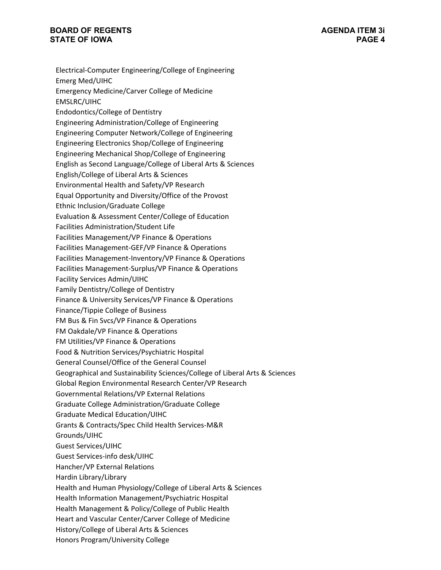Electrical-Computer Engineering/College of Engineering Emerg Med/UIHC Emergency Medicine/Carver College of Medicine EMSLRC/UIHC Endodontics/College of Dentistry Engineering Administration/College of Engineering Engineering Computer Network/College of Engineering Engineering Electronics Shop/College of Engineering Engineering Mechanical Shop/College of Engineering English as Second Language/College of Liberal Arts & Sciences English/College of Liberal Arts & Sciences Environmental Health and Safety/VP Research Equal Opportunity and Diversity/Office of the Provost Ethnic Inclusion/Graduate College Evaluation & Assessment Center/College of Education Facilities Administration/Student Life Facilities Management/VP Finance & Operations Facilities Management-GEF/VP Finance & Operations Facilities Management-Inventory/VP Finance & Operations Facilities Management-Surplus/VP Finance & Operations Facility Services Admin/UIHC Family Dentistry/College of Dentistry Finance & University Services/VP Finance & Operations Finance/Tippie College of Business FM Bus & Fin Svcs/VP Finance & Operations FM Oakdale/VP Finance & Operations FM Utilities/VP Finance & Operations Food & Nutrition Services/Psychiatric Hospital General Counsel/Office of the General Counsel Geographical and Sustainability Sciences/College of Liberal Arts & Sciences Global Region Environmental Research Center/VP Research Governmental Relations/VP External Relations Graduate College Administration/Graduate College Graduate Medical Education/UIHC Grants & Contracts/Spec Child Health Services-M&R Grounds/UIHC Guest Services/UIHC Guest Services-info desk/UIHC Hancher/VP External Relations Hardin Library/Library Health and Human Physiology/College of Liberal Arts & Sciences Health Information Management/Psychiatric Hospital Health Management & Policy/College of Public Health Heart and Vascular Center/Carver College of Medicine History/College of Liberal Arts & Sciences Honors Program/University College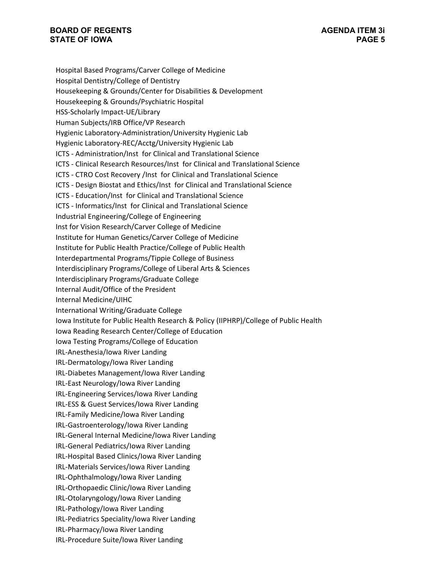Hospital Based Programs/Carver College of Medicine Hospital Dentistry/College of Dentistry Housekeeping & Grounds/Center for Disabilities & Development Housekeeping & Grounds/Psychiatric Hospital HSS-Scholarly Impact-UE/Library Human Subjects/IRB Office/VP Research Hygienic Laboratory-Administration/University Hygienic Lab Hygienic Laboratory-REC/Acctg/University Hygienic Lab ICTS - Administration/Inst for Clinical and Translational Science ICTS - Clinical Research Resources/Inst for Clinical and Translational Science ICTS - CTRO Cost Recovery /Inst for Clinical and Translational Science ICTS - Design Biostat and Ethics/Inst for Clinical and Translational Science ICTS - Education/Inst for Clinical and Translational Science ICTS - Informatics/Inst for Clinical and Translational Science Industrial Engineering/College of Engineering Inst for Vision Research/Carver College of Medicine Institute for Human Genetics/Carver College of Medicine Institute for Public Health Practice/College of Public Health Interdepartmental Programs/Tippie College of Business Interdisciplinary Programs/College of Liberal Arts & Sciences Interdisciplinary Programs/Graduate College Internal Audit/Office of the President Internal Medicine/UIHC International Writing/Graduate College Iowa Institute for Public Health Research & Policy (IIPHRP)/College of Public Health Iowa Reading Research Center/College of Education Iowa Testing Programs/College of Education IRL-Anesthesia/Iowa River Landing IRL-Dermatology/Iowa River Landing IRL-Diabetes Management/Iowa River Landing IRL-East Neurology/Iowa River Landing IRL-Engineering Services/Iowa River Landing IRL-ESS & Guest Services/Iowa River Landing IRL-Family Medicine/Iowa River Landing IRL-Gastroenterology/Iowa River Landing IRL-General Internal Medicine/Iowa River Landing IRL-General Pediatrics/Iowa River Landing IRL-Hospital Based Clinics/Iowa River Landing IRL-Materials Services/Iowa River Landing IRL-Ophthalmology/Iowa River Landing IRL-Orthopaedic Clinic/Iowa River Landing IRL-Otolaryngology/Iowa River Landing IRL-Pathology/Iowa River Landing IRL-Pediatrics Speciality/Iowa River Landing IRL-Pharmacy/Iowa River Landing IRL-Procedure Suite/Iowa River Landing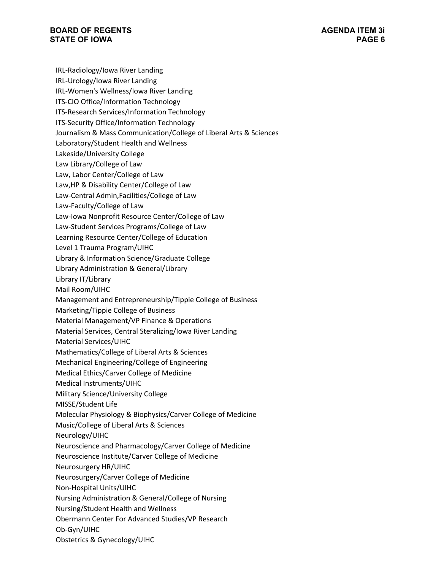IRL-Radiology/Iowa River Landing IRL-Urology/Iowa River Landing IRL-Women's Wellness/Iowa River Landing ITS-CIO Office/Information Technology ITS-Research Services/Information Technology ITS-Security Office/Information Technology Journalism & Mass Communication/College of Liberal Arts & Sciences Laboratory/Student Health and Wellness Lakeside/University College Law Library/College of Law Law, Labor Center/College of Law Law,HP & Disability Center/College of Law Law-Central Admin,Facilities/College of Law Law-Faculty/College of Law Law-Iowa Nonprofit Resource Center/College of Law Law-Student Services Programs/College of Law Learning Resource Center/College of Education Level 1 Trauma Program/UIHC Library & Information Science/Graduate College Library Administration & General/Library Library IT/Library Mail Room/UIHC Management and Entrepreneurship/Tippie College of Business Marketing/Tippie College of Business Material Management/VP Finance & Operations Material Services, Central Steralizing/Iowa River Landing Material Services/UIHC Mathematics/College of Liberal Arts & Sciences Mechanical Engineering/College of Engineering Medical Ethics/Carver College of Medicine Medical Instruments/UIHC Military Science/University College MISSE/Student Life Molecular Physiology & Biophysics/Carver College of Medicine Music/College of Liberal Arts & Sciences Neurology/UIHC Neuroscience and Pharmacology/Carver College of Medicine Neuroscience Institute/Carver College of Medicine Neurosurgery HR/UIHC Neurosurgery/Carver College of Medicine Non-Hospital Units/UIHC Nursing Administration & General/College of Nursing Nursing/Student Health and Wellness Obermann Center For Advanced Studies/VP Research Ob-Gyn/UIHC

Obstetrics & Gynecology/UIHC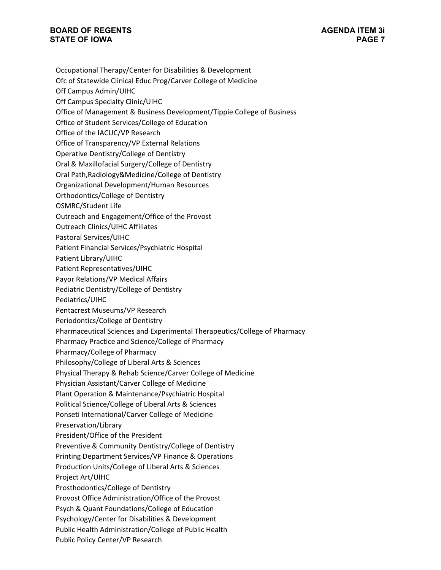- Occupational Therapy/Center for Disabilities & Development
- Ofc of Statewide Clinical Educ Prog/Carver College of Medicine
- Off Campus Admin/UIHC
- Off Campus Specialty Clinic/UIHC
- Office of Management & Business Development/Tippie College of Business
- Office of Student Services/College of Education
- Office of the IACUC/VP Research
- Office of Transparency/VP External Relations
- Operative Dentistry/College of Dentistry
- Oral & Maxillofacial Surgery/College of Dentistry
- Oral Path,Radiology&Medicine/College of Dentistry
- Organizational Development/Human Resources
- Orthodontics/College of Dentistry
- OSMRC/Student Life
- Outreach and Engagement/Office of the Provost
- Outreach Clinics/UIHC Affiliates
- Pastoral Services/UIHC
- Patient Financial Services/Psychiatric Hospital
- Patient Library/UIHC
- Patient Representatives/UIHC
- Payor Relations/VP Medical Affairs
- Pediatric Dentistry/College of Dentistry
- Pediatrics/UIHC
- Pentacrest Museums/VP Research
- Periodontics/College of Dentistry
- Pharmaceutical Sciences and Experimental Therapeutics/College of Pharmacy
- Pharmacy Practice and Science/College of Pharmacy
- Pharmacy/College of Pharmacy
- Philosophy/College of Liberal Arts & Sciences
- Physical Therapy & Rehab Science/Carver College of Medicine
- Physician Assistant/Carver College of Medicine
- Plant Operation & Maintenance/Psychiatric Hospital
- Political Science/College of Liberal Arts & Sciences
- Ponseti International/Carver College of Medicine
- Preservation/Library
- President/Office of the President
- Preventive & Community Dentistry/College of Dentistry
- Printing Department Services/VP Finance & Operations
- Production Units/College of Liberal Arts & Sciences
- Project Art/UIHC
- Prosthodontics/College of Dentistry
- Provost Office Administration/Office of the Provost
- Psych & Quant Foundations/College of Education
- Psychology/Center for Disabilities & Development
- Public Health Administration/College of Public Health
- Public Policy Center/VP Research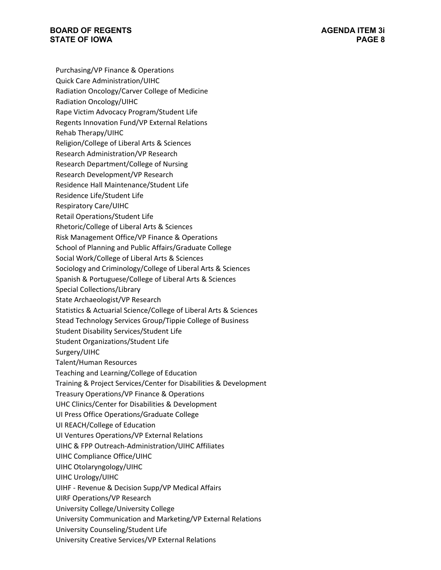- Purchasing/VP Finance & Operations
- Quick Care Administration/UIHC
- Radiation Oncology/Carver College of Medicine
- Radiation Oncology/UIHC
- Rape Victim Advocacy Program/Student Life
- Regents Innovation Fund/VP External Relations
- Rehab Therapy/UIHC
- Religion/College of Liberal Arts & Sciences
- Research Administration/VP Research
- Research Department/College of Nursing
- Research Development/VP Research
- Residence Hall Maintenance/Student Life
- Residence Life/Student Life
- Respiratory Care/UIHC
- Retail Operations/Student Life
- Rhetoric/College of Liberal Arts & Sciences
- Risk Management Office/VP Finance & Operations
- School of Planning and Public Affairs/Graduate College
- Social Work/College of Liberal Arts & Sciences
- Sociology and Criminology/College of Liberal Arts & Sciences
- Spanish & Portuguese/College of Liberal Arts & Sciences
- Special Collections/Library
- State Archaeologist/VP Research
- Statistics & Actuarial Science/College of Liberal Arts & Sciences
- Stead Technology Services Group/Tippie College of Business
- Student Disability Services/Student Life
- Student Organizations/Student Life
- Surgery/UIHC
- Talent/Human Resources
- Teaching and Learning/College of Education
- Training & Project Services/Center for Disabilities & Development
- Treasury Operations/VP Finance & Operations
- UHC Clinics/Center for Disabilities & Development
- UI Press Office Operations/Graduate College
- UI REACH/College of Education
- UI Ventures Operations/VP External Relations
- UIHC & FPP Outreach-Administration/UIHC Affiliates
- UIHC Compliance Office/UIHC
- UIHC Otolaryngology/UIHC
- UIHC Urology/UIHC
- UIHF Revenue & Decision Supp/VP Medical Affairs
- UIRF Operations/VP Research
- University College/University College
- University Communication and Marketing/VP External Relations
- University Counseling/Student Life
- University Creative Services/VP External Relations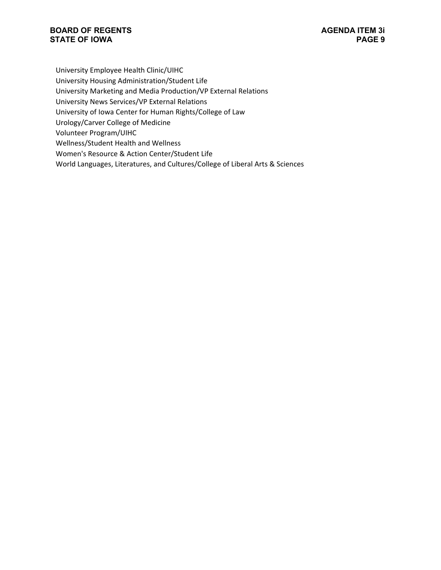University Employee Health Clinic/UIHC

University Housing Administration/Student Life

University Marketing and Media Production/VP External Relations

University News Services/VP External Relations

University of Iowa Center for Human Rights/College of Law

Urology/Carver College of Medicine

Volunteer Program/UIHC

Wellness/Student Health and Wellness

Women's Resource & Action Center/Student Life

World Languages, Literatures, and Cultures/College of Liberal Arts & Sciences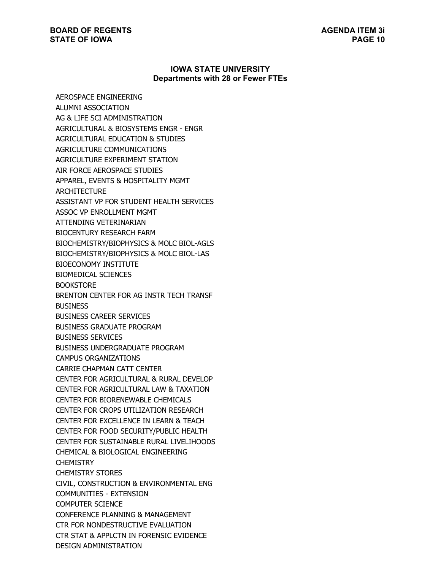#### **IOWA STATE UNIVERSITY Departments with 28 or Fewer FTEs**

AEROSPACE ENGINEERING ALUMNI ASSOCIATION AG & LIFE SCI ADMINISTRATION AGRICULTURAL & BIOSYSTEMS ENGR - ENGR AGRICULTURAL EDUCATION & STUDIES AGRICULTURE COMMUNICATIONS AGRICULTURE EXPERIMENT STATION AIR FORCE AEROSPACE STUDIES APPAREL, EVENTS & HOSPITALITY MGMT ARCHITECTURE ASSISTANT VP FOR STUDENT HEALTH SERVICES ASSOC VP ENROLLMENT MGMT ATTENDING VETERINARIAN BIOCENTURY RESEARCH FARM BIOCHEMISTRY/BIOPHYSICS & MOLC BIOL-AGLS BIOCHEMISTRY/BIOPHYSICS & MOLC BIOL-LAS BIOECONOMY INSTITUTE BIOMEDICAL SCIENCES BOOKSTORE BRENTON CENTER FOR AG INSTR TECH TRANSF **BUSINESS** BUSINESS CAREER SERVICES BUSINESS GRADUATE PROGRAM BUSINESS SERVICES BUSINESS UNDERGRADUATE PROGRAM CAMPUS ORGANIZATIONS CARRIE CHAPMAN CATT CENTER CENTER FOR AGRICULTURAL & RURAL DEVELOP CENTER FOR AGRICULTURAL LAW & TAXATION CENTER FOR BIORENEWABLE CHEMICALS CENTER FOR CROPS UTILIZATION RESEARCH CENTER FOR EXCELLENCE IN LEARN & TEACH CENTER FOR FOOD SECURITY/PUBLIC HEALTH CENTER FOR SUSTAINABLE RURAL LIVELIHOODS CHEMICAL & BIOLOGICAL ENGINEERING **CHEMISTRY** CHEMISTRY STORES CIVIL, CONSTRUCTION & ENVIRONMENTAL ENG COMMUNITIES - EXTENSION COMPUTER SCIENCE CONFERENCE PLANNING & MANAGEMENT CTR FOR NONDESTRUCTIVE EVALUATION CTR STAT & APPLCTN IN FORENSIC EVIDENCE DESIGN ADMINISTRATION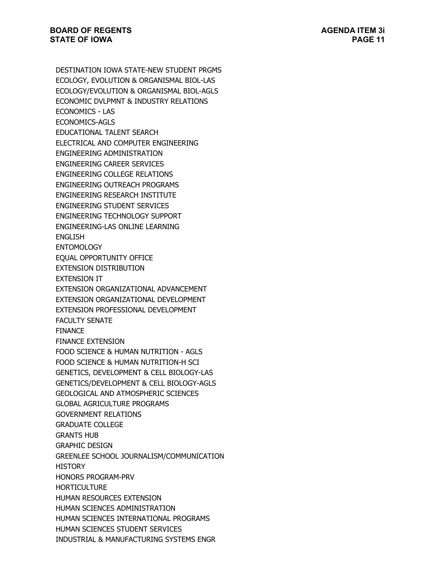DESTINATION IOWA STATE-NEW STUDENT PRGMS ECOLOGY, EVOLUTION & ORGANISMAL BIOL-LAS ECOLOGY/EVOLUTION & ORGANISMAL BIOL-AGLS ECONOMIC DVLPMNT & INDUSTRY RELATIONS ECONOMICS - LAS ECONOMICS-AGLS EDUCATIONAL TALENT SEARCH ELECTRICAL AND COMPUTER ENGINEERING ENGINEERING ADMINISTRATION ENGINEERING CAREER SERVICES ENGINEERING COLLEGE RELATIONS ENGINEERING OUTREACH PROGRAMS ENGINEERING RESEARCH INSTITUTE ENGINEERING STUDENT SERVICES ENGINEERING TECHNOLOGY SUPPORT ENGINEERING-LAS ONLINE LEARNING ENGLISH **ENTOMOLOGY** EQUAL OPPORTUNITY OFFICE EXTENSION DISTRIBUTION EXTENSION IT EXTENSION ORGANIZATIONAL ADVANCEMENT EXTENSION ORGANIZATIONAL DEVELOPMENT EXTENSION PROFESSIONAL DEVELOPMENT FACULTY SENATE FINANCE FINANCE EXTENSION FOOD SCIENCE & HUMAN NUTRITION - AGLS FOOD SCIENCE & HUMAN NUTRITION-H SCI GENETICS, DEVELOPMENT & CELL BIOLOGY-LAS GENETICS/DEVELOPMENT & CELL BIOLOGY-AGLS GEOLOGICAL AND ATMOSPHERIC SCIENCES GLOBAL AGRICULTURE PROGRAMS GOVERNMENT RELATIONS GRADUATE COLLEGE GRANTS HUB GRAPHIC DESIGN GREENLEE SCHOOL JOURNALISM/COMMUNICATION **HISTORY** HONORS PROGRAM-PRV HORTICULTURE HUMAN RESOURCES EXTENSION HUMAN SCIENCES ADMINISTRATION HUMAN SCIENCES INTERNATIONAL PROGRAMS HUMAN SCIENCES STUDENT SERVICES INDUSTRIAL & MANUFACTURING SYSTEMS ENGR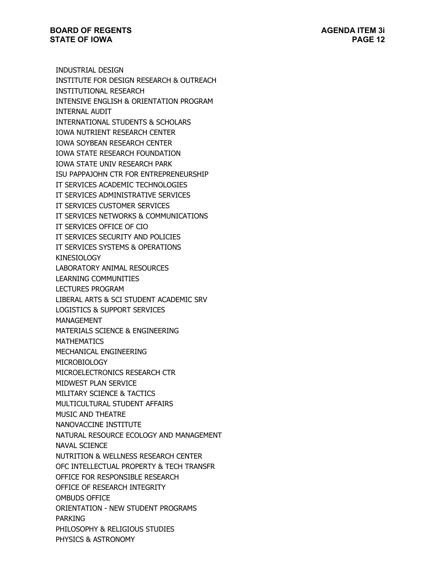INDUSTRIAL DESIGN INSTITUTE FOR DESIGN RESEARCH & OUTREACH INSTITUTIONAL RESEARCH INTENSIVE ENGLISH & ORIENTATION PROGRAM INTERNAL AUDIT INTERNATIONAL STUDENTS & SCHOLARS IOWA NUTRIENT RESEARCH CENTER IOWA SOYBEAN RESEARCH CENTER IOWA STATE RESEARCH FOUNDATION IOWA STATE UNIV RESEARCH PARK ISU PAPPAJOHN CTR FOR ENTREPRENEURSHIP IT SERVICES ACADEMIC TECHNOLOGIES IT SERVICES ADMINISTRATIVE SERVICES IT SERVICES CUSTOMER SERVICES IT SERVICES NETWORKS & COMMUNICATIONS IT SERVICES OFFICE OF CIO IT SERVICES SECURITY AND POLICIES IT SERVICES SYSTEMS & OPERATIONS KINESIOLOGY LABORATORY ANIMAL RESOURCES LEARNING COMMUNITIES LECTURES PROGRAM LIBERAL ARTS & SCI STUDENT ACADEMIC SRV LOGISTICS & SUPPORT SERVICES MANAGEMENT MATERIALS SCIENCE & ENGINEERING MATHEMATICS MECHANICAL ENGINEERING MICROBIOLOGY MICROELECTRONICS RESEARCH CTR MIDWEST PLAN SERVICE MILITARY SCIENCE & TACTICS MULTICULTURAL STUDENT AFFAIRS MUSIC AND THEATRE NANOVACCINE INSTITUTE NATURAL RESOURCE ECOLOGY AND MANAGEMENT NAVAL SCIENCE NUTRITION & WELLNESS RESEARCH CENTER OFC INTELLECTUAL PROPERTY & TECH TRANSFR OFFICE FOR RESPONSIBLE RESEARCH OFFICE OF RESEARCH INTEGRITY OMBUDS OFFICE ORIENTATION - NEW STUDENT PROGRAMS PARKING PHILOSOPHY & RELIGIOUS STUDIES PHYSICS & ASTRONOMY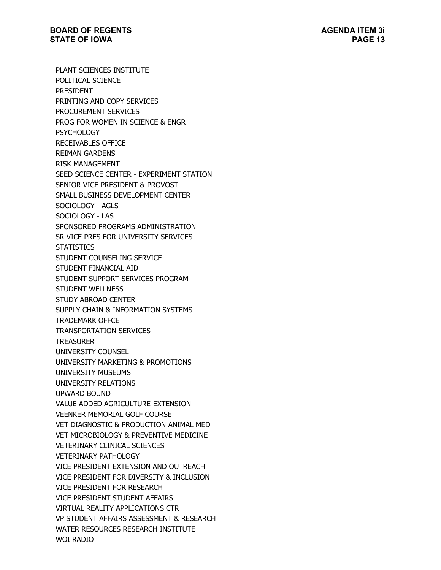PLANT SCIENCES INSTITUTE POLITICAL SCIENCE PRESIDENT PRINTING AND COPY SERVICES PROCUREMENT SERVICES PROG FOR WOMEN IN SCIENCE & ENGR **PSYCHOLOGY** RECEIVABLES OFFICE REIMAN GARDENS RISK MANAGEMENT SEED SCIENCE CENTER - EXPERIMENT STATION SENIOR VICE PRESIDENT & PROVOST SMALL BUSINESS DEVELOPMENT CENTER SOCIOLOGY - AGLS SOCIOLOGY - LAS SPONSORED PROGRAMS ADMINISTRATION SR VICE PRES FOR UNIVERSITY SERVICES **STATISTICS** STUDENT COUNSELING SERVICE STUDENT FINANCIAL AID STUDENT SUPPORT SERVICES PROGRAM STUDENT WELLNESS STUDY ABROAD CENTER SUPPLY CHAIN & INFORMATION SYSTEMS TRADEMARK OFFCE TRANSPORTATION SERVICES TREASURER UNIVERSITY COUNSEL UNIVERSITY MARKETING & PROMOTIONS UNIVERSITY MUSEUMS UNIVERSITY RELATIONS UPWARD BOUND VALUE ADDED AGRICULTURE-EXTENSION VEENKER MEMORIAL GOLF COURSE VET DIAGNOSTIC & PRODUCTION ANIMAL MED VET MICROBIOLOGY & PREVENTIVE MEDICINE VETERINARY CLINICAL SCIENCES VETERINARY PATHOLOGY VICE PRESIDENT EXTENSION AND OUTREACH VICE PRESIDENT FOR DIVERSITY & INCLUSION VICE PRESIDENT FOR RESEARCH VICE PRESIDENT STUDENT AFFAIRS VIRTUAL REALITY APPLICATIONS CTR VP STUDENT AFFAIRS ASSESSMENT & RESEARCH WATER RESOURCES RESEARCH INSTITUTE WOI RADIO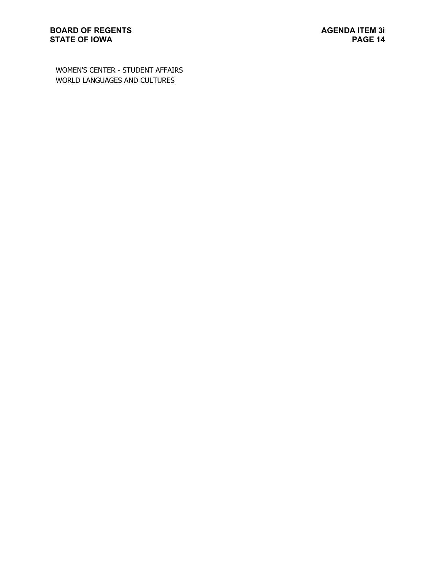WOMEN'S CENTER - STUDENT AFFAIRS WORLD LANGUAGES AND CULTURES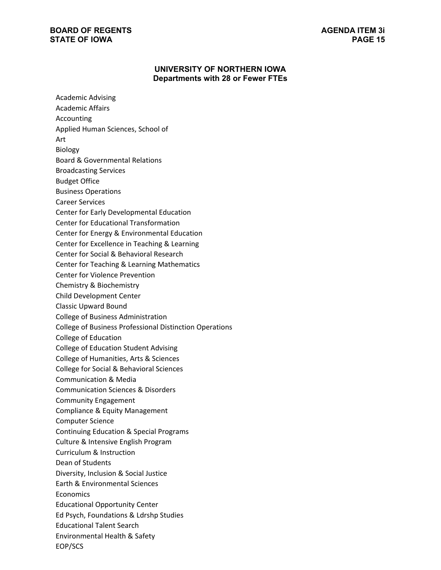# **UNIVERSITY OF NORTHERN IOWA Departments with 28 or Fewer FTEs**

| <b>Academic Advising</b><br><b>Academic Affairs</b><br>Accounting                         |
|-------------------------------------------------------------------------------------------|
| Applied Human Sciences, School of<br>Art                                                  |
| <b>Biology</b>                                                                            |
| <b>Board &amp; Governmental Relations</b>                                                 |
| <b>Broadcasting Services</b>                                                              |
| <b>Budget Office</b>                                                                      |
| <b>Business Operations</b>                                                                |
| <b>Career Services</b>                                                                    |
| Center for Early Developmental Education                                                  |
| <b>Center for Educational Transformation</b>                                              |
| Center for Energy & Environmental Education                                               |
| Center for Excellence in Teaching & Learning                                              |
| Center for Social & Behavioral Research<br>Center for Teaching & Learning Mathematics     |
| <b>Center for Violence Prevention</b>                                                     |
| Chemistry & Biochemistry                                                                  |
| Child Development Center                                                                  |
| <b>Classic Upward Bound</b>                                                               |
| College of Business Administration                                                        |
| <b>College of Business Professional Distinction Operations</b>                            |
| College of Education                                                                      |
| <b>College of Education Student Advising</b>                                              |
| College of Humanities, Arts & Sciences                                                    |
| College for Social & Behavioral Sciences                                                  |
| <b>Communication &amp; Media</b>                                                          |
| <b>Communication Sciences &amp; Disorders</b>                                             |
| <b>Community Engagement</b>                                                               |
| Compliance & Equity Management                                                            |
| <b>Computer Science</b>                                                                   |
| <b>Continuing Education &amp; Special Programs</b><br>Culture & Intensive English Program |
| Curriculum & Instruction                                                                  |
| Dean of Students                                                                          |
| Diversity, Inclusion & Social Justice                                                     |
| Earth & Environmental Sciences                                                            |
| Economics                                                                                 |
| <b>Educational Opportunity Center</b>                                                     |
| Ed Psych, Foundations & Ldrshp Studies                                                    |
| <b>Educational Talent Search</b>                                                          |
| Environmental Health & Safety                                                             |
| EOP/SCS                                                                                   |
|                                                                                           |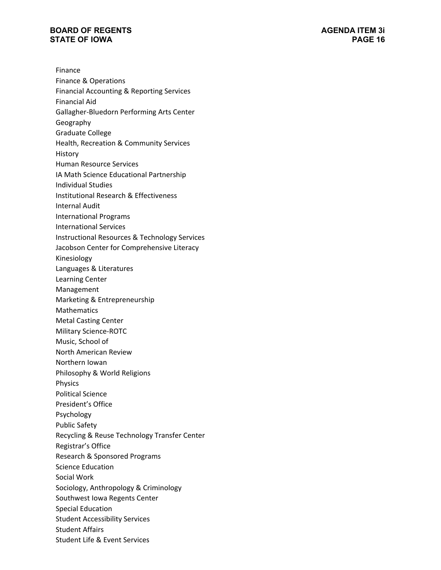Finance Finance & Operations Financial Accounting & Reporting Services Financial Aid Gallagher-Bluedorn Performing Arts Center Geography Graduate College Health, Recreation & Community Services **History** Human Resource Services IA Math Science Educational Partnership Individual Studies Institutional Research & Effectiveness Internal Audit International Programs International Services Instructional Resources & Technology Services Jacobson Center for Comprehensive Literacy Kinesiology Languages & Literatures Learning Center Management Marketing & Entrepreneurship Mathematics Metal Casting Center Military Science-ROTC Music, School of North American Review Northern Iowan Philosophy & World Religions Physics Political Science President's Office Psychology Public Safety Recycling & Reuse Technology Transfer Center Registrar's Office Research & Sponsored Programs Science Education Social Work Sociology, Anthropology & Criminology Southwest Iowa Regents Center Special Education Student Accessibility Services Student Affairs Student Life & Event Services